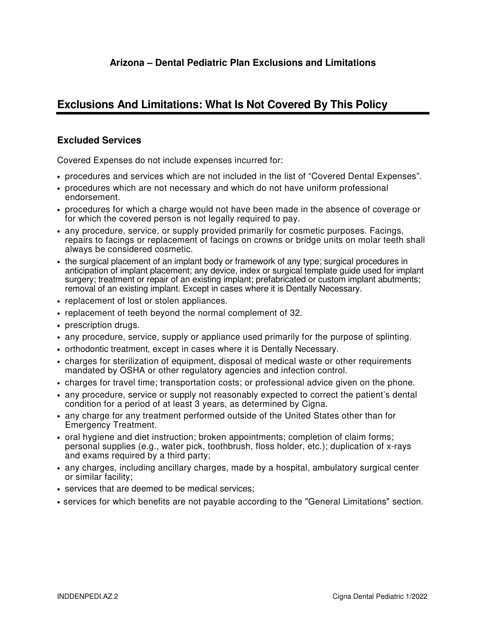## **Arizona – Dental Pediatric Plan Exclusions and Limitations**

## **Exclusions And Limitations: What Is Not Covered By This Policy**

## **Excluded Services**

Covered Expenses do not include expenses incurred for:

- procedures and services which are not included in the list of "Covered Dental Expenses".
- procedures which are not necessary and which do not have uniform professional endorsement.
- procedures for which a charge would not have been made in the absence of coverage or for which the covered person is not legally required to pay.
- any procedure, service, or supply provided primarily for cosmetic purposes. Facings, repairs to facings or replacement of facings on crowns or bridge units on molar teeth shall always be considered cosmetic.
- the surgical placement of an implant body or framework of any type; surgical procedures in anticipation of implant placement; any device, index or surgical template guide used for implant surgery; treatment or repair of an existing implant; prefabricated or custom implant abutments; removal of an existing implant. Except in cases where it is Dentally Necessary.
- replacement of lost or stolen appliances.
- replacement of teeth beyond the normal complement of 32.
- prescription drugs.
- any procedure, service, supply or appliance used primarily for the purpose of splinting.
- orthodontic treatment, except in cases where it is Dentally Necessary.
- charges for sterilization of equipment, disposal of medical waste or other requirements mandated by OSHA or other regulatory agencies and infection control.
- charges for travel time; transportation costs; or professional advice given on the phone.
- any procedure, service or supply not reasonably expected to correct the patient's dental condition for a period of at least 3 years, as determined by Cigna.
- any charge for any treatment performed outside of the United States other than for Emergency Treatment.
- oral hygiene and diet instruction; broken appointments; completion of claim forms; personal supplies (e.g., water pick, toothbrush, floss holder, etc.); duplication of x-rays and exams required by a third party;
- any charges, including ancillary charges, made by a hospital, ambulatory surgical center or similar facility;
- services that are deemed to be medical services;
- services for which benefits are not payable according to the "General Limitations" section.